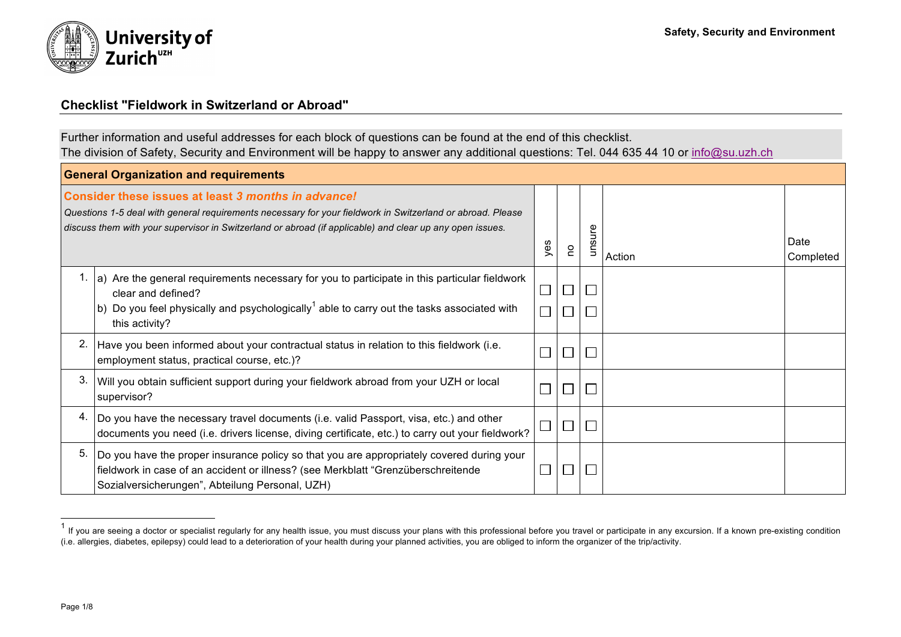

## **Checklist "Fieldwork in Switzerland or Abroad"**

Further information and useful addresses for each block of questions can be found at the end of this checklist. The division of Safety, Security and Environment will be happy to answer any additional questions: Tel. 044 635 44 10 or info@su.uzh.ch

| <b>General Organization and requirements</b> |                                                                                                                                                                                                                                                                               |                             |   |             |        |                   |  |
|----------------------------------------------|-------------------------------------------------------------------------------------------------------------------------------------------------------------------------------------------------------------------------------------------------------------------------------|-----------------------------|---|-------------|--------|-------------------|--|
|                                              | Consider these issues at least 3 months in advance!<br>Questions 1-5 deal with general requirements necessary for your fieldwork in Switzerland or abroad. Please<br>discuss them with your supervisor in Switzerland or abroad (if applicable) and clear up any open issues. | yes                         | S | unsure      | Action | Date<br>Completed |  |
|                                              | a) Are the general requirements necessary for you to participate in this particular fieldwork<br>clear and defined?<br>b) Do you feel physically and psychologically <sup>1</sup> able to carry out the tasks associated with<br>this activity?                               |                             |   | $\Box$<br>Г |        |                   |  |
| 2.                                           | Have you been informed about your contractual status in relation to this fieldwork (i.e.<br>employment status, practical course, etc.)?                                                                                                                                       | $\mathcal{L}_{\mathcal{A}}$ |   | $\Box$      |        |                   |  |
| 3.                                           | Will you obtain sufficient support during your fieldwork abroad from your UZH or local<br>supervisor?                                                                                                                                                                         | $\mathcal{L}_{\mathcal{A}}$ |   | $\Box$      |        |                   |  |
|                                              | Do you have the necessary travel documents (i.e. valid Passport, visa, etc.) and other<br>documents you need (i.e. drivers license, diving certificate, etc.) to carry out your fieldwork?                                                                                    |                             |   | $\Box$      |        |                   |  |
| 5.                                           | Do you have the proper insurance policy so that you are appropriately covered during your<br>fieldwork in case of an accident or illness? (see Merkblatt "Grenzüberschreitende<br>Sozialversicherungen", Abteilung Personal, UZH)                                             | $\Box$                      |   | $\Box$      |        |                   |  |

<sup>1&</sup>lt;br><sup>1</sup> If you are seeing a doctor or specialist regularly for any health issue, you must discuss your plans with this professional before you travel or participate in any excursion. If a known pre-existing condition (i.e. allergies, diabetes, epilepsy) could lead to a deterioration of your health during your planned activities, you are obliged to inform the organizer of the trip/activity.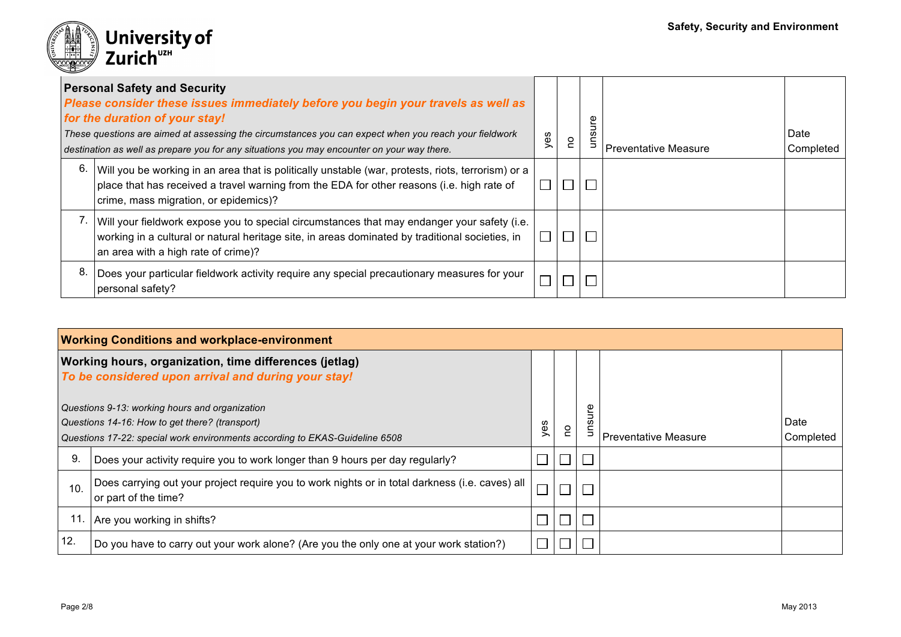

|    | <b>Personal Safety and Security</b><br>Please consider these issues immediately before you begin your travels as well as<br>for the duration of your stay!<br>These questions are aimed at assessing the circumstances you can expect when you reach your fieldwork<br>destination as well as prepare you for any situations you may encounter on your way there. | yes | e<br>C | θη<br>gun | l Preventative Measure | Date<br>Completed |
|----|-------------------------------------------------------------------------------------------------------------------------------------------------------------------------------------------------------------------------------------------------------------------------------------------------------------------------------------------------------------------|-----|--------|-----------|------------------------|-------------------|
| 6. | Will you be working in an area that is politically unstable (war, protests, riots, terrorism) or a<br>place that has received a travel warning from the EDA for other reasons (i.e. high rate of<br>crime, mass migration, or epidemics)?                                                                                                                         |     |        | П         |                        |                   |
|    | Will your fieldwork expose you to special circumstances that may endanger your safety (i.e.<br>working in a cultural or natural heritage site, in areas dominated by traditional societies, in<br>an area with a high rate of crime)?                                                                                                                             |     |        | $\Box$    |                        |                   |
| 8. | Does your particular fieldwork activity require any special precautionary measures for your<br>personal safety?                                                                                                                                                                                                                                                   |     |        |           |                        |                   |

| <b>Working Conditions and workplace-environment</b> |                                                                                                                                                                                 |     |    |                    |                             |                   |  |
|-----------------------------------------------------|---------------------------------------------------------------------------------------------------------------------------------------------------------------------------------|-----|----|--------------------|-----------------------------|-------------------|--|
|                                                     | <b>Working hours, organization, time differences (jetlag)</b><br>To be considered upon arrival and during your stay!                                                            |     |    |                    |                             |                   |  |
|                                                     | Questions 9-13: working hours and organization<br>Questions 14-16: How to get there? (transport)<br>Questions 17-22: special work environments according to EKAS-Guideline 6508 | yes | S. | e<br>Ju<br>ဖာ<br>∍ | <b>Preventative Measure</b> | Date<br>Completed |  |
| 9                                                   | Does your activity require you to work longer than 9 hours per day regularly?                                                                                                   |     |    |                    |                             |                   |  |
| 10.                                                 | Does carrying out your project require you to work nights or in total darkness (i.e. caves) all<br>or part of the time?                                                         |     |    |                    |                             |                   |  |
|                                                     | Are you working in shifts?                                                                                                                                                      |     |    |                    |                             |                   |  |
| 12.                                                 | Do you have to carry out your work alone? (Are you the only one at your work station?)                                                                                          |     |    |                    |                             |                   |  |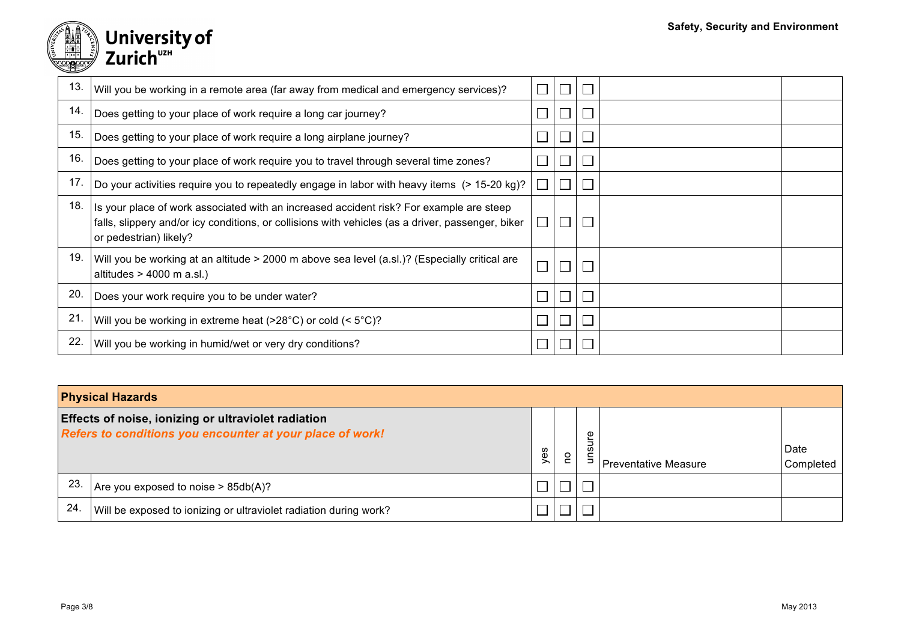

# University of<br>Zurich<sup>uzH</sup>

| 13. | Will you be working in a remote area (far away from medical and emergency services)?                                                                                                                                   |                             |        |  |
|-----|------------------------------------------------------------------------------------------------------------------------------------------------------------------------------------------------------------------------|-----------------------------|--------|--|
| 14. | Does getting to your place of work require a long car journey?                                                                                                                                                         |                             | ⊔      |  |
| 15. | Does getting to your place of work require a long airplane journey?                                                                                                                                                    |                             |        |  |
| 16. | Does getting to your place of work require you to travel through several time zones?                                                                                                                                   |                             | $\Box$ |  |
| 17. | Do your activities require you to repeatedly engage in labor with heavy items (> 15-20 kg)?                                                                                                                            |                             |        |  |
| 18. | Is your place of work associated with an increased accident risk? For example are steep<br>falls, slippery and/or icy conditions, or collisions with vehicles (as a driver, passenger, biker<br>or pedestrian) likely? | $\Box$                      |        |  |
| 19. | Will you be working at an altitude > 2000 m above sea level (a.sl.)? (Especially critical are<br>altitudes $> 4000$ m a.sl.)                                                                                           |                             |        |  |
| 20. | Does your work require you to be under water?                                                                                                                                                                          |                             |        |  |
| 21. | Will you be working in extreme heat ( $>28^{\circ}$ C) or cold ( $< 5^{\circ}$ C)?                                                                                                                                     | $\mathcal{L}_{\mathcal{A}}$ | L      |  |
| 22. | Will you be working in humid/wet or very dry conditions?                                                                                                                                                               |                             |        |  |

| <b>Physical Hazards</b>                                                                                          |                                                                   |     |   |        |                             |                   |  |
|------------------------------------------------------------------------------------------------------------------|-------------------------------------------------------------------|-----|---|--------|-----------------------------|-------------------|--|
| Effects of noise, ionizing or ultraviolet radiation<br>Refers to conditions you encounter at your place of work! |                                                                   | yes | S | Φ<br>w | <b>Preventative Measure</b> | Date<br>Completed |  |
| 23                                                                                                               | Are you exposed to noise $> 85db(A)?$                             |     |   |        |                             |                   |  |
| 24                                                                                                               | Will be exposed to ionizing or ultraviolet radiation during work? |     |   |        |                             |                   |  |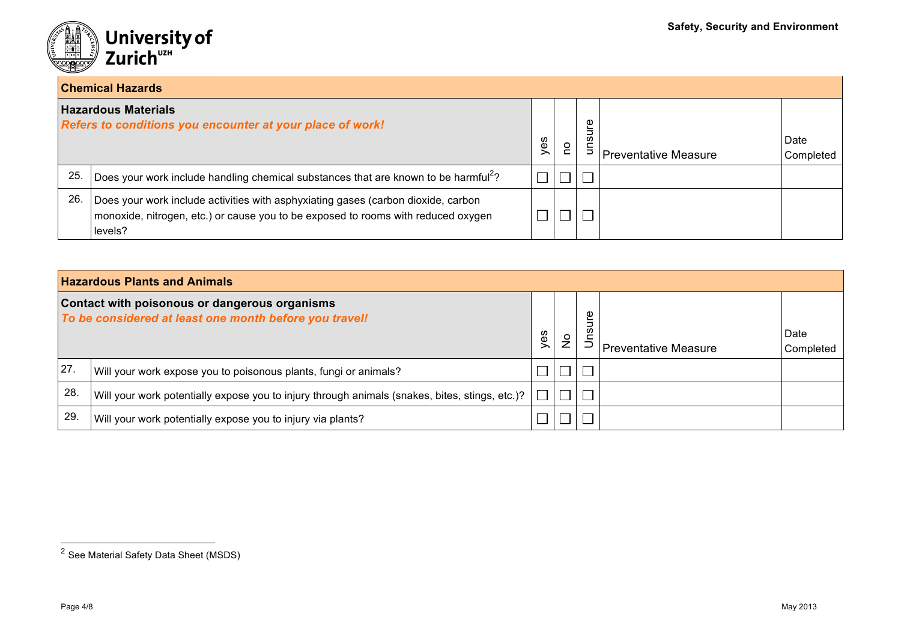

## **Chemical Hazards**

|    | TUITEIIILAI NAZAIUS                                                                                                                                                               |     |   |        |                             |                   |  |
|----|-----------------------------------------------------------------------------------------------------------------------------------------------------------------------------------|-----|---|--------|-----------------------------|-------------------|--|
|    | <b>Hazardous Materials</b><br>Refers to conditions you encounter at your place of work!                                                                                           | yes | ဥ | Φ<br>w | <b>Preventative Measure</b> | Date<br>Completed |  |
| 25 | Does your work include handling chemical substances that are known to be harmful <sup>2</sup> ?                                                                                   |     |   |        |                             |                   |  |
| 26 | Does your work include activities with asphyxiating gases (carbon dioxide, carbon<br>monoxide, nitrogen, etc.) or cause you to be exposed to rooms with reduced oxygen<br>levels? |     |   |        |                             |                   |  |

| <b>Hazardous Plants and Animals</b>                                                                            |                                                                                                       |     |               |             |                             |                   |  |  |
|----------------------------------------------------------------------------------------------------------------|-------------------------------------------------------------------------------------------------------|-----|---------------|-------------|-----------------------------|-------------------|--|--|
| <b>Contact with poisonous or dangerous organisms</b><br>To be considered at least one month before you travel! |                                                                                                       | yes | $\frac{1}{2}$ | Φ<br>≒<br>w | <b>Preventative Measure</b> | Date<br>Completed |  |  |
| 27.                                                                                                            | Will your work expose you to poisonous plants, fungi or animals?                                      |     |               |             |                             |                   |  |  |
| 28.                                                                                                            | Will your work potentially expose you to injury through animals (snakes, bites, stings, etc.)? $\Box$ |     |               |             |                             |                   |  |  |
| 29                                                                                                             | Will your work potentially expose you to injury via plants?                                           |     |               |             |                             |                   |  |  |

 <sup>2</sup> See Material Safety Data Sheet (MSDS)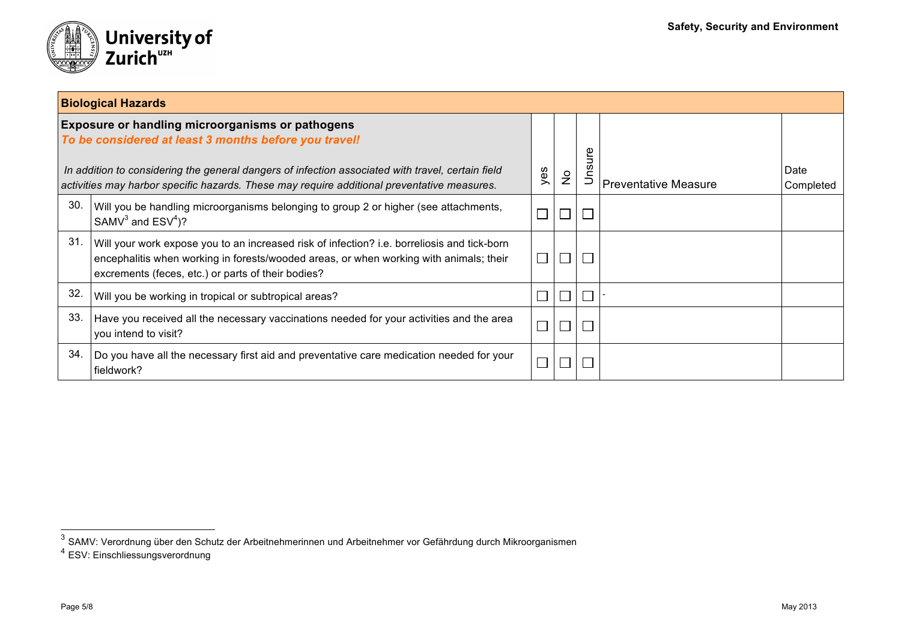

|     | <b>Biological Hazards</b>                                                                                                                                                                                                                                                                                            |     |                             |                   |                             |                   |  |  |
|-----|----------------------------------------------------------------------------------------------------------------------------------------------------------------------------------------------------------------------------------------------------------------------------------------------------------------------|-----|-----------------------------|-------------------|-----------------------------|-------------------|--|--|
|     | <b>Exposure or handling microorganisms or pathogens</b><br>To be considered at least 3 months before you travel!<br>In addition to considering the general dangers of infection associated with travel, certain field<br>activities may harbor specific hazards. These may require additional preventative measures. | yes | $\frac{1}{2}$               | sure<br>$\subset$ | <b>Preventative Measure</b> | Date<br>Completed |  |  |
| 30. | Will you be handling microorganisms belonging to group 2 or higher (see attachments,<br>SAMV $3$ and ESV $4$ )?                                                                                                                                                                                                      |     |                             |                   |                             |                   |  |  |
| 31. | Will your work expose you to an increased risk of infection? i.e. borreliosis and tick-born<br>encephalitis when working in forests/wooded areas, or when working with animals; their<br>excrements (feces, etc.) or parts of their bodies?                                                                          |     | $\mathcal{L}_{\mathcal{A}}$ |                   |                             |                   |  |  |
| 32. | Will you be working in tropical or subtropical areas?                                                                                                                                                                                                                                                                |     | $\overline{\phantom{a}}$    |                   |                             |                   |  |  |
| 33. | Have you received all the necessary vaccinations needed for your activities and the area<br>you intend to visit?                                                                                                                                                                                                     |     |                             |                   |                             |                   |  |  |
| 34. | Do you have all the necessary first aid and preventative care medication needed for your<br>fieldwork?                                                                                                                                                                                                               |     |                             |                   |                             |                   |  |  |

<sup>3</sup> SAMV: Verordnung über den Schutz der Arbeitnehmerinnen und Arbeitnehmer vor Gefährdung durch Mikroorganismen<br><sup>3</sup> SAMV: Verordnung über den Schutz der Arbeitnehmerinnen und Arbeitnehmer vor Gefährdung durch Mikroorganisme

<sup>4</sup> ESV: Einschliessungsverordnung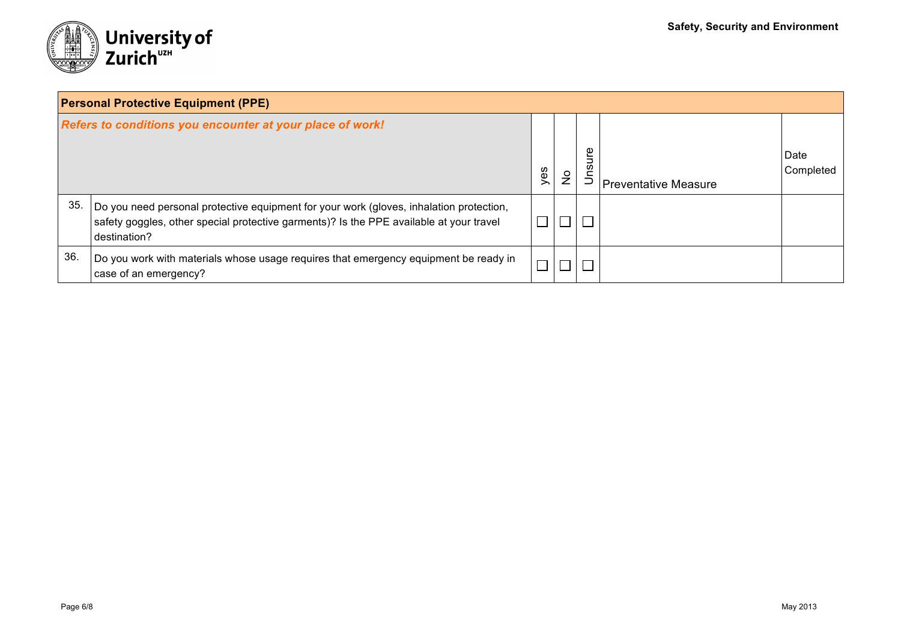

| <b>Personal Protective Equipment (PPE)</b>                |                                                                                                                                                                                                    |     |             |                |                             |                   |  |  |
|-----------------------------------------------------------|----------------------------------------------------------------------------------------------------------------------------------------------------------------------------------------------------|-----|-------------|----------------|-----------------------------|-------------------|--|--|
| Refers to conditions you encounter at your place of work! |                                                                                                                                                                                                    | yes | $\tilde{z}$ | ഉ<br><b>US</b> | <b>Preventative Measure</b> | Date<br>Completed |  |  |
| 35                                                        | Do you need personal protective equipment for your work (gloves, inhalation protection,<br>safety goggles, other special protective garments)? Is the PPE available at your travel<br>destination? |     |             | П              |                             |                   |  |  |
| 36.                                                       | Do you work with materials whose usage requires that emergency equipment be ready in<br>case of an emergency?                                                                                      |     |             |                |                             |                   |  |  |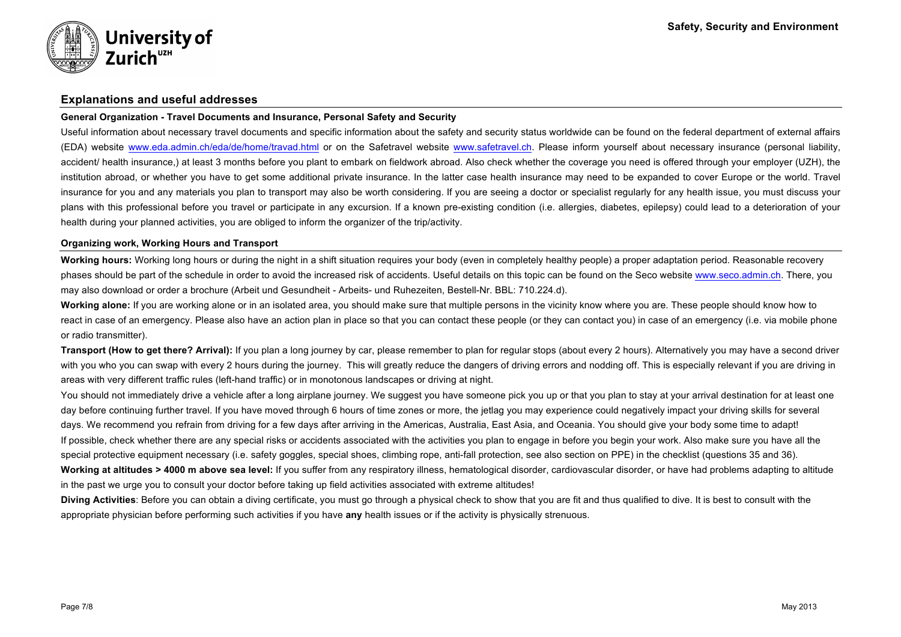

### **Explanations and useful addresses**

#### **General Organization - Travel Documents and Insurance, Personal Safety and Security**

Useful information about necessary travel documents and specific information about the safety and security status worldwide can be found on the federal department of external affairs (EDA) website www.eda.admin.ch/eda/de/home/travad.html or on the Safetravel website www.safetravel.ch. Please inform yourself about necessary insurance (personal liability, accident/ health insurance,) at least 3 months before you plant to embark on fieldwork abroad. Also check whether the coverage you need is offered through your employer (UZH), the institution abroad, or whether you have to get some additional private insurance. In the latter case health insurance may need to be expanded to cover Europe or the world. Travel insurance for you and any materials you plan to transport may also be worth considering. If you are seeing a doctor or specialist regularly for any health issue, you must discuss your plans with this professional before you travel or participate in any excursion. If a known pre-existing condition (i.e. allergies, diabetes, epilepsy) could lead to a deterioration of your health during your planned activities, you are obliged to inform the organizer of the trip/activity.

#### **Organizing work, Working Hours and Transport**

**Working hours:** Working long hours or during the night in a shift situation requires your body (even in completely healthy people) a proper adaptation period. Reasonable recovery phases should be part of the schedule in order to avoid the increased risk of accidents. Useful details on this topic can be found on the Seco website www.seco.admin.ch. There, you may also download or order a brochure (Arbeit und Gesundheit - Arbeits- und Ruhezeiten, Bestell-Nr. BBL: 710.224.d).

**Working alone:** If you are working alone or in an isolated area, you should make sure that multiple persons in the vicinity know where you are. These people should know how to react in case of an emergency. Please also have an action plan in place so that you can contact these people (or they can contact you) in case of an emergency (i.e. via mobile phone or radio transmitter).

**Transport (How to get there? Arrival):** If you plan a long journey by car, please remember to plan for regular stops (about every 2 hours). Alternatively you may have a second driver with you who you can swap with every 2 hours during the journey. This will greatly reduce the dangers of driving errors and nodding off. This is especially relevant if you are driving in areas with very different traffic rules (left-hand traffic) or in monotonous landscapes or driving at night.

You should not immediately drive a vehicle after a long airplane journey. We suggest you have someone pick you up or that you plan to stay at your arrival destination for at least one day before continuing further travel. If you have moved through 6 hours of time zones or more, the jetlag you may experience could negatively impact your driving skills for several days. We recommend you refrain from driving for a few days after arriving in the Americas, Australia, East Asia, and Oceania. You should give your body some time to adapt! If possible, check whether there are any special risks or accidents associated with the activities you plan to engage in before you begin your work. Also make sure you have all the special protective equipment necessary (i.e. safety goggles, special shoes, climbing rope, anti-fall protection, see also section on PPE) in the checklist (questions 35 and 36). **Working at altitudes > 4000 m above sea level:** If you suffer from any respiratory illness, hematological disorder, cardiovascular disorder, or have had problems adapting to altitude

in the past we urge you to consult your doctor before taking up field activities associated with extreme altitudes!

**Diving Activities**: Before you can obtain a diving certificate, you must go through a physical check to show that you are fit and thus qualified to dive. It is best to consult with the appropriate physician before performing such activities if you have **any** health issues or if the activity is physically strenuous.